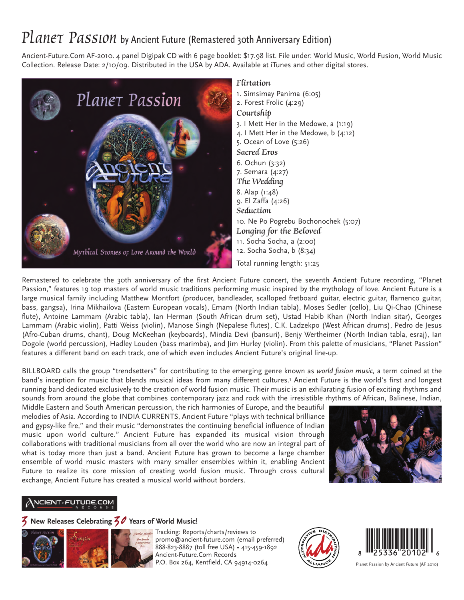# PLANET PASSION by Ancient Future (Remastered 30th Anniversary Edition)

Ancient-Future.Com AF-2010. 4 panel Digipak CD with 6 page booklet: \$17.98 list. File under: World Music, World Fusion, World Music Collection. Release Date: 2/10/09. Distributed in the USA by ADA. Available at iTunes and other digital stores.



#### Flirtation

1. Simsimay Panima (6:05) 2. Forest Frolic (4:29) Courtship 3. I Mett Her in the Medowe, a (1:19) 4. I Mett Her in the Medowe, b (4:12) 5. Ocean of Love (5:26) Sacred Eros 6. Ochun (3:32) 7. Semara (4:27) The Wedding 8. Alap (1:48) 9. El Zaffa (4:26) **Seduction** 10. Ne Po Pogrebu Bochonochek (5:07) Longing for the Beloved 11. Socha Socha, a (2:00) 12. Socha Socha, b (8:34)

Total running length: 51:25

Remastered to celebrate the 30th anniversary of the first Ancient Future concert, the seventh Ancient Future recording, "Planet Passion," features 19 top masters of world music traditions performing music inspired by the mythology of love. Ancient Future is a large musical family including Matthew Montfort (producer, bandleader, scalloped fretboard guitar, electric guitar, flamenco guitar, bass, gangsa), Irina Mikhailova (Eastern European vocals), Emam (North Indian tabla), Moses Sedler (cello), Liu Qi-Chao (Chinese flute), Antoine Lammam (Arabic tabla), Ian Herman (South African drum set), Ustad Habib Khan (North Indian sitar), Georges Lammam (Arabic violin), Patti Weiss (violin), Manose Singh (Nepalese flutes), C.K. Ladzekpo (West African drums), Pedro de Jesus (Afro-Cuban drums, chant), Doug McKeehan (keyboards), Mindia Devi (bansuri), Benjy Wertheimer (North Indian tabla, esraj), Ian Dogole (world percussion), Hadley Louden (bass marimba), and Jim Hurley (violin). From this palette of musicians, "Planet Passion" features a different band on each track, one of which even includes Ancient Future's original line-up.

BILLBOARD calls the group "trendsetters" for contributing to the emerging genre known as *world fusion music,* a term coined at the band's inception for music that blends musical ideas from many different cultures.1 Ancient Future is the world's first and longest running band dedicated exclusively to the creation of world fusion music. Their music is an exhilarating fusion of exciting rhythms and sounds from around the globe that combines contemporary jazz and rock with the irresistible rhythms of African, Balinese, Indian,

Middle Eastern and South American percussion, the rich harmonies of Europe, and the beautiful melodies of Asia. According to INDIA CURRENTS, Ancient Future "plays with technical brilliance and gypsy-like fire," and their music "demonstrates the continuing beneficial influence of Indian music upon world culture." Ancient Future has expanded its musical vision through collaborations with traditional musicians from all over the world who are now an integral part of what is today more than just a band. Ancient Future has grown to become a large chamber ensemble of world music masters with many smaller ensembles within it, enabling Ancient Future to realize its core mission of creating world fusion music. Through cross cultural exchange, Ancient Future has created a musical world without borders.



## NCIENT-FUTURE.COM

## 3 **New Releases Celebrating** 30 **Years of World Music!**



Tracking: Reports/charts/reviews to [promo@ancient-future.com \(e](mailto:promo@ancient-future.com)mail preferred) 888-823-8887 (toll free USA) • 415-459-1892 Ancient-Future.Com Records P.O. Box 264, Kentfield, CA 94914-0264





Planet Passion by Ancient Future (AF 2010)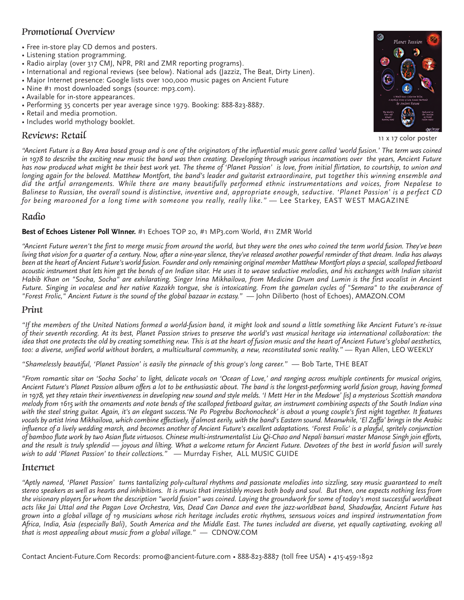## Promotional Overview

- Free in-store play CD demos and posters.
- Listening station programming.
- Radio airplay (over 317 CMJ, NPR, PRI and ZMR reporting programs).
- International and regional reviews (see below). National ads (Jazziz, The Beat, Dirty Linen).
- Major Internet presence: Google lists over 100,000 music pages on Ancient Future
- Nine #1 most downloaded songs (source: mp3.com).
- Available for in-store appearances.
- Performing 35 concerts per year average since 1979. Booking: 888-823-8887.
- Retail and media promotion.
- Includes world mythology booklet.

#### Reviews: Retail



11 x 17 color poster

*"Ancient Future is a Bay Area based group and is one of the originators of the influential music genre called 'world fusion.' The term was coined in 1978 to describe the exciting new music the band was then creating. Developing through various incarnations over the years, Ancient Future has now produced what might be their best work yet. The theme of 'Planet Passion' is love, from initial flirtation, to courtship, to union and longing again for the beloved. Matthew Montfort, the band's leader and guitarist extraordinaire, put together this winning ensemble and did the artful arrangements. While there are many beautifully performed ethnic instrumentations and voices, from Nepalese to Balinese to Russian, the overall sound is distinctive, inventive and, appropriate enough, seductive. 'Planet Passion' is a perfect CD for being marooned for a long time with someone you really, really like."* — Lee Starkey, EAST WEST MAGAZINE

#### Radio

#### **Best of Echoes Listener Poll WInner.** #1 Echoes TOP 20, #1 MP3.com World, #11 ZMR World

*"Ancient Future weren't the first to merge music from around the world, but they were the ones who coined the term world fusion. They've been living that vision for a quarter of a century. Now, after a nine-year silence, they've released another powerful reminder of that dream. India has always been at the heart of Ancient Future's world fusion. Founder and only remaining original member Matthew Montfort plays a special, scalloped fretboard acoustic instrument that lets him get the bends of an Indian sitar. He uses it to weave seductive melodies, and his exchanges with Indian sitarist Habib Khan on "Socha, Socha" are exhilarating. Singer Irina Mikhailova, from Medicine Drum and Lumin is the first vocalist in Ancient Future. Singing in vocalese and her native Kazakh tongue, she is intoxicating. From the gamelan cycles of "Semara" to the exuberance of "Forest Frolic," Ancient Future is the sound of the global bazaar in ecstasy."* — John Diliberto (host of Echoes), AMAZON.COM

#### Print

*"If the members of the United Nations formed a world-fusion band, it might look and sound a little something like Ancient Future's re-issue of their seventh recording. At its best, Planet Passion strives to preserve the world's vast musical heritage via international collaboration: the idea that one protects the old by creating something new. This is at the heart of fusion music and the heart of Ancient Future's global aesthetics,* too: a diverse, unified world without borders, a multicultural community, a new, reconstituted sonic reality." — Ryan Allen, LEO WEEKLY

*"Shamelessly beautiful, 'Planet Passion' is easily the pinnacle of this group's long career."* — Bob Tarte, THE BEAT

*"From romantic sitar on 'Socha Socha' to light, delicate vocals on 'Ocean of Love,' and ranging across multiple continents for musical origins, Ancient Future's Planet Passion album offers a lot to be enthusiastic about. The band is the longest-performing world fusion group, having formed in 1978, yet they retain their inventiveness in developing new sound and style melds. 'I Mett Her in the Medowe' [is] a mysterious Scottish mandora melody from 1615 with the ornaments and note bends of the scalloped fretboard guitar, an instrument combining aspects of the South Indian vina with the steel string guitar. Again, it's an elegant success.'Ne Po Pogrebu Bochonocheck' is about a young couple's first night together. It features vocals by artist Irina Mikhailova, which combine effectively, if almost eerily, with the band's Eastern sound. Meanwhile, 'El Zaffa' brings in the Arabic influence of a lively wedding march, and becomes another of Ancient Future's excellent adaptations. 'Forest Frolic' is a playful, spritely conjunction of bamboo flute work by two Asian flute virtuosos. Chinese multi-instrumentalist Liu Qi-Chao and Nepali bansuri master Manose Singh join efforts, and the result is truly splendid — joyous and lilting. What a welcome return for Ancient Future. Devotees of the best in world fusion will surely wish to add 'Planet Passion' to their collections."* — Murrday Fisher, ALL MUSIC GUIDE

#### Internet

*"Aptly named, 'Planet Passion' turns tantalizing poly-cultural rhythms and passionate melodies into sizzling, sexy music guaranteed to melt stereo speakers as well as hearts and inhibitions. It is music that irresistibly moves both body and soul. But then, one expects nothing less from the visionary players for whom the description "world fusion" was coined. Laying the groundwork for some of today's most successful worldbeat acts like Jai Uttal and the Pagan Love Orchestra, Vas, Dead Can Dance and even the jazz-worldbeat band, Shadowfax, Ancient Future has grown into a global village of 19 musicians whose rich heritage includes erotic rhythms, sensuous voices and inspired instrumentation from Africa, India, Asia (especially Bali), South America and the Middle East. The tunes included are diverse, yet equally captivating, evoking all that is most appealing about music from a global village."* — CDNOW.COM